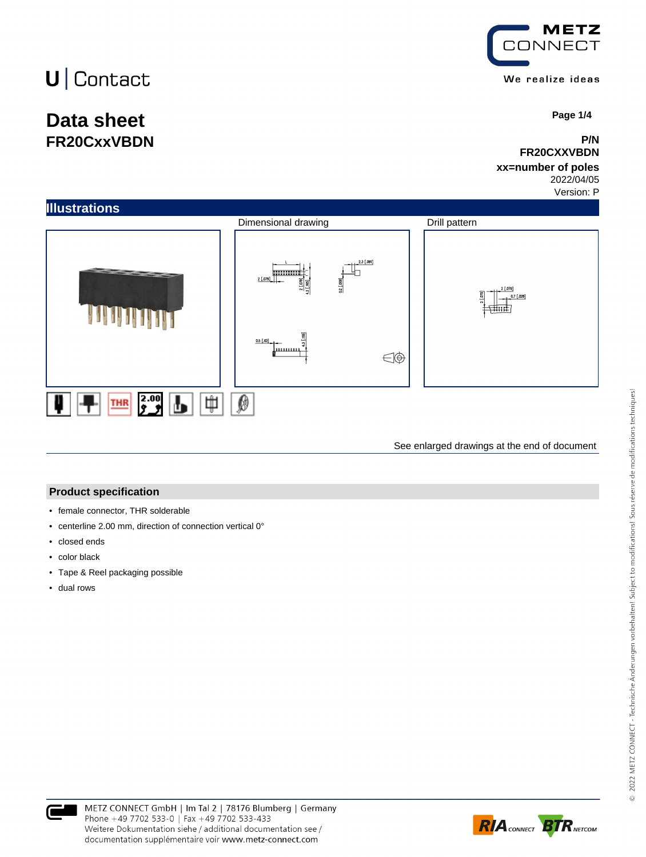# $U$  Contact

## **Data sheet FR20CxxVBDN**



 **Page 1/4**

### **P/N FR20CXXVBDN**

### **xx=number of poles**

2022/04/05 Version: P



See enlarged drawings at the end of document

### **Product specification**

- female connector, THR solderable
- centerline 2.00 mm, direction of connection vertical 0°
- closed ends
- color black
- Tape & Reel packaging possible
- dual rows



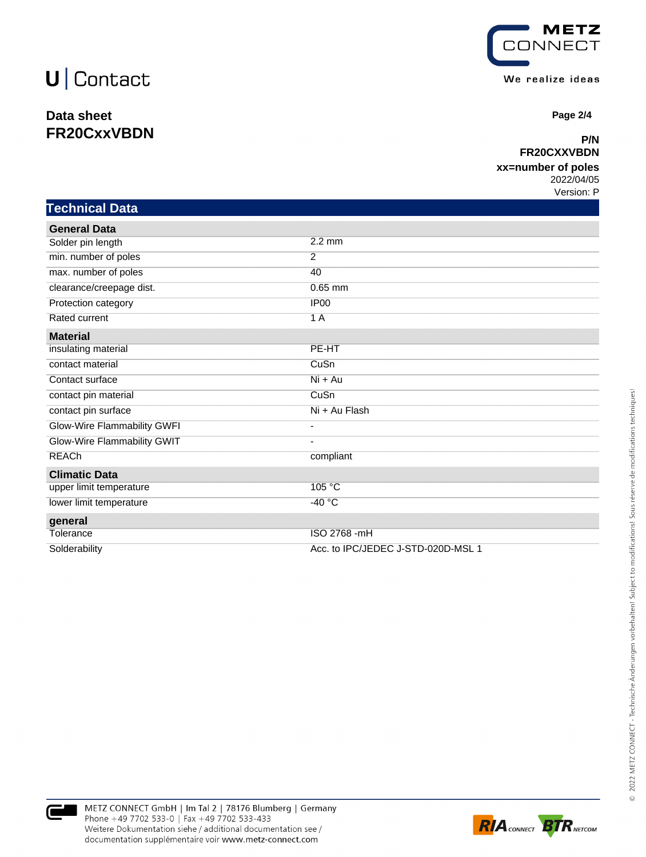## $U$  Contact

## **Data sheet FR20CxxVBDN**



 **Page 2/4**

### **P/N FR20CXXVBDN**

### **xx=number of poles**

2022/04/05 Version: P

## **Technical Data**

| <b>General Data</b>         |                                    |  |
|-----------------------------|------------------------------------|--|
| Solder pin length           | $2.2 \text{ mm}$                   |  |
| min. number of poles        | $\overline{2}$                     |  |
| max. number of poles        | 40                                 |  |
| clearance/creepage dist.    | $0.65$ mm                          |  |
| Protection category         | IP <sub>00</sub>                   |  |
| Rated current               | 1A                                 |  |
| <b>Material</b>             |                                    |  |
| insulating material         | PE-HT                              |  |
| contact material            | CuSn                               |  |
| Contact surface             | Ni + Au                            |  |
| contact pin material        | CuSn                               |  |
| contact pin surface         | Ni + Au Flash                      |  |
| Glow-Wire Flammability GWFI | ٠                                  |  |
| Glow-Wire Flammability GWIT | $\overline{\phantom{a}}$           |  |
| <b>REACh</b>                | compliant                          |  |
| <b>Climatic Data</b>        |                                    |  |
| upper limit temperature     | 105 °C                             |  |
| lower limit temperature     | $-40 °C$                           |  |
| general                     |                                    |  |
| Tolerance                   | ISO 2768 - mH                      |  |
| Solderability               | Acc. to IPC/JEDEC J-STD-020D-MSL 1 |  |



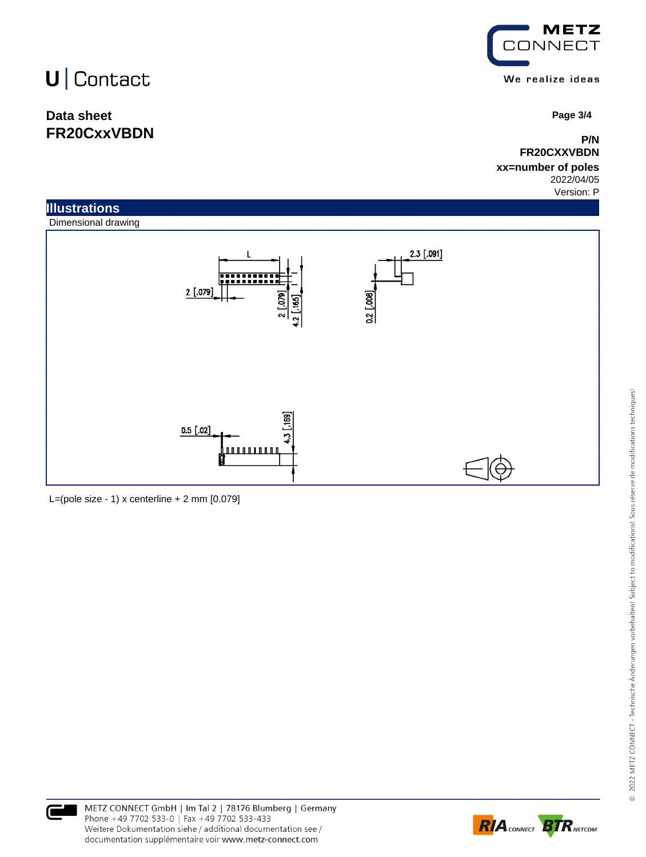# $U \vert$  Contact

## **Data sheet FR20CxxVBDN**



 **Page 3/4**

### **P/N FR20CXXVBDN**

#### **xx=number of poles** 2022/04/05

Version: P





L=(pole size - 1)  $x$  centerline + 2 mm  $[0.079]$